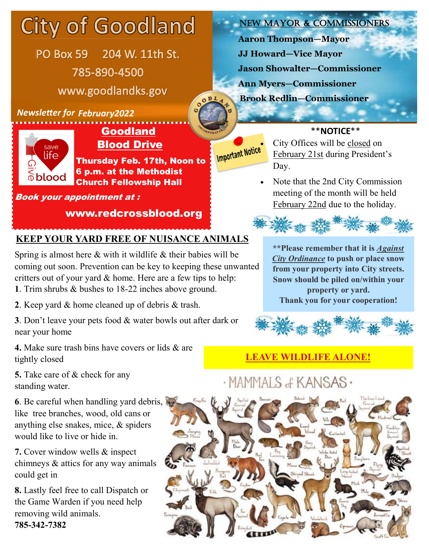## **City of Goodland**

PO Box 59 204 W. 11th St. 785-890-4500 www.goodlandks.gov

#### **Newsletter for February2022**



#### Goodland Blood Drive

Thursday Feb. 17th, Noon to 6 p.m. at the Methodist Church Fellowship Hall

#### Book your appointment at :

#### www.redcrossblood.org

#### **KEEP YOUR YARD FREE OF NUISANCE ANIMALS**

Spring is almost here & with it wildlife & their babies will be coming out soon. Prevention can be key to keeping these unwanted critters out of your yard & home. Here are a few tips to help: **1**. Trim shrubs & bushes to 18-22 inches above ground.

**2**. Keep yard & home cleaned up of debris & trash.

**3**. Don't leave your pets food & water bowls out after dark or near your home

**4.** Make sure trash bins have covers or lids & are tightly closed

**5.** Take care of & check for any standing water.

#### **6**. Be careful when handling yard debris, like tree branches, wood, old cans or anything else snakes, mice, & spiders would like to live or hide in.

**7.** Cover window wells & inspect chimneys & attics for any way animals could get in

**8.** Lastly feel free to call Dispatch or the Game Warden if you need help removing wild animals. **785-342-7382**

#### New Mayor & Commissioners

**Aaron Thompson—Mayor JJ Howard—Vice Mayor Jason Showalter—Commissioner Ann Myers—Commissioner**

**Brook Redlin—Commissioner**

#### \*\***NOTICE**\*\*

**City Offices will be closed on** February 21st during President's Day.

> Note that the 2nd City Commission meeting of the month will be held February 22nd due to the holiday.



**\*\*Please remember that it is** *Against City Ordinance* **to push or place snow from your property into City streets. Snow should be piled on/within your property or yard. Thank you for your cooperation!**



# · MAMMALS of KANSAS ·

 **LEAVE WILDLIFE ALONE!**